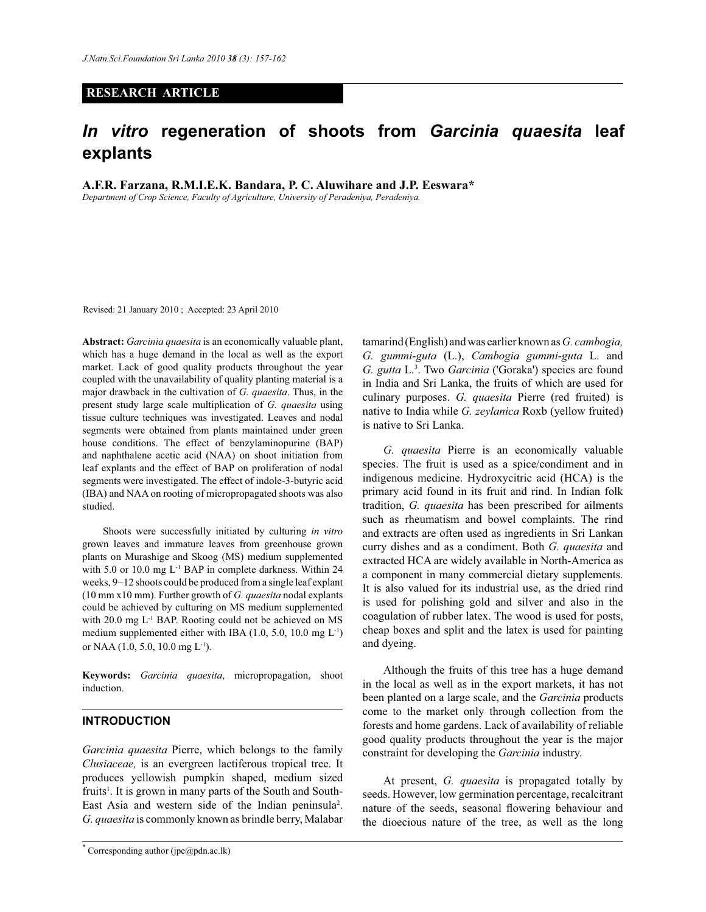#### **RESEARCH ARTICLE**

# *In vitro* **regeneration of shoots from** *Garcinia quaesita* **leaf explants**

**A.F.R. Farzana, R.M.I.E.K. Bandara, P. C. Aluwihare and J.P. Eeswara\***

*Department of Crop Science, Faculty of Agriculture, University of Peradeniya, Peradeniya.*

Revised: 21 January 2010 ; Accepted: 23 April 2010

**Abstract:** *Garcinia quaesita* is an economically valuable plant, which has a huge demand in the local as well as the export market. Lack of good quality products throughout the year coupled with the unavailability of quality planting material is a major drawback in the cultivation of *G. quaesita*. Thus, in the present study large scale multiplication of *G. quaesita* using tissue culture techniques was investigated. Leaves and nodal segments were obtained from plants maintained under green house conditions. The effect of benzylaminopurine (BAP) and naphthalene acetic acid (NAA) on shoot initiation from leaf explants and the effect of BAP on proliferation of nodal segments were investigated. The effect of indole-3-butyric acid (IBA) and NAA on rooting of micropropagated shoots was also studied.

 Shoots were successfully initiated by culturing *in vitro* grown leaves and immature leaves from greenhouse grown plants on Murashige and Skoog (MS) medium supplemented with 5.0 or 10.0 mg L<sup>-1</sup> BAP in complete darkness. Within 24 weeks, 9−12 shoots could be produced from a single leaf explant (10 mm x10 mm). Further growth of *G. quaesita* nodal explants could be achieved by culturing on MS medium supplemented with 20.0 mg L<sup>-1</sup> BAP. Rooting could not be achieved on MS medium supplemented either with IBA (1.0, 5.0, 10.0 mg L-1) or NAA (1.0, 5.0, 10.0 mg L-1).

**Keywords:** *Garcinia quaesita*, micropropagation, shoot induction.

#### **INTRODUCTION**

*Garcinia quaesita* Pierre, which belongs to the family *Clusiaceae,* is an evergreen lactiferous tropical tree. It produces yellowish pumpkin shaped, medium sized fruits<sup>1</sup>. It is grown in many parts of the South and South-East Asia and western side of the Indian peninsula<sup>2</sup>. *G. quaesita* is commonly known as brindle berry, Malabar

tamarind (English) and was earlier known as *G. cambogia, G. gummi-guta* (L.), *Cambogia gummi-guta* L. and *G. gutta* L.<sup>3</sup> . Two *Garcinia* ('Goraka') species are found in India and Sri Lanka, the fruits of which are used for culinary purposes. *G. quaesita* Pierre (red fruited) is native to India while *G. zeylanica* Roxb (yellow fruited) is native to Sri Lanka.

 *G. quaesita* Pierre is an economically valuable species. The fruit is used as a spice/condiment and in indigenous medicine. Hydroxycitric acid (HCA) is the primary acid found in its fruit and rind. In Indian folk tradition, *G. quaesita* has been prescribed for ailments such as rheumatism and bowel complaints. The rind and extracts are often used as ingredients in Sri Lankan curry dishes and as a condiment. Both *G. quaesita* and extracted HCA are widely available in North-America as a component in many commercial dietary supplements. It is also valued for its industrial use, as the dried rind is used for polishing gold and silver and also in the coagulation of rubber latex. The wood is used for posts, cheap boxes and split and the latex is used for painting and dyeing.

 Although the fruits of this tree has a huge demand in the local as well as in the export markets, it has not been planted on a large scale, and the *Garcinia* products come to the market only through collection from the forests and home gardens. Lack of availability of reliable good quality products throughout the year is the major constraint for developing the *Garcinia* industry.

 At present, *G. quaesita* is propagated totally by seeds. However, low germination percentage, recalcitrant nature of the seeds, seasonal flowering behaviour and the dioecious nature of the tree, as well as the long

Corresponding author (jpe $(\partial \rho)$ dn.ac.lk)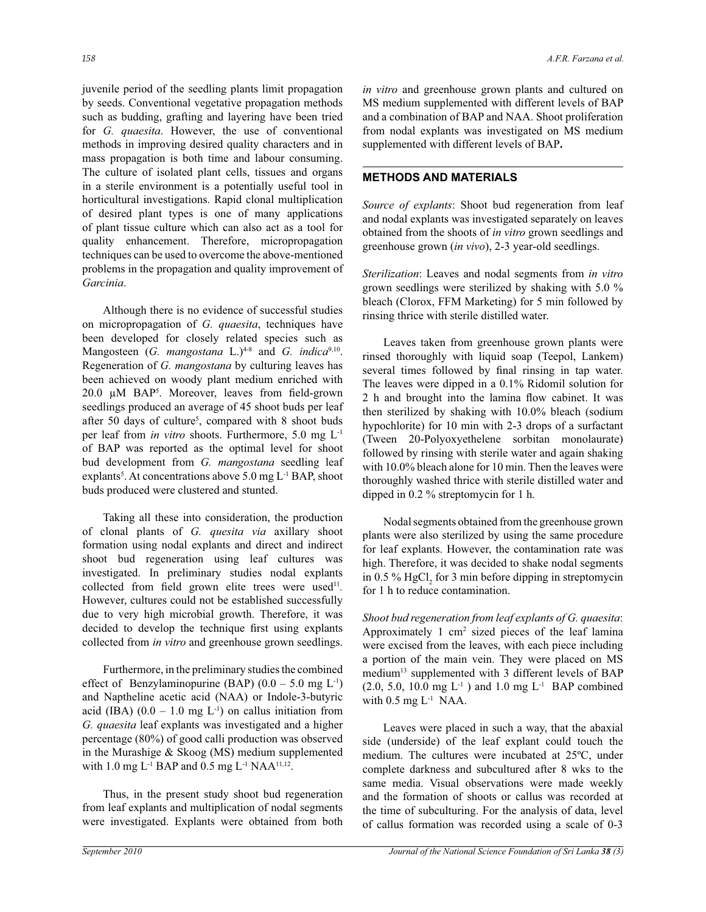juvenile period of the seedling plants limit propagation by seeds. Conventional vegetative propagation methods such as budding, grafting and layering have been tried for *G. quaesita*. However, the use of conventional methods in improving desired quality characters and in mass propagation is both time and labour consuming. The culture of isolated plant cells, tissues and organs in a sterile environment is a potentially useful tool in horticultural investigations. Rapid clonal multiplication of desired plant types is one of many applications of plant tissue culture which can also act as a tool for quality enhancement. Therefore, micropropagation techniques can be used to overcome the above-mentioned problems in the propagation and quality improvement of *Garcinia*.

 Although there is no evidence of successful studies on micropropagation of *G. quaesita*, techniques have been developed for closely related species such as Mangosteen (*G. mangostana* L.)<sup>4-8</sup> and *G. indica*<sup>9,10</sup>. Regeneration of *G. mangostana* by culturing leaves has been achieved on woody plant medium enriched with 20.0 µM BAP<sup>5</sup> . Moreover, leaves from field-grown seedlings produced an average of 45 shoot buds per leaf after 50 days of culture<sup>5</sup>, compared with 8 shoot buds per leaf from *in vitro* shoots. Furthermore, 5.0 mg L-1 of BAP was reported as the optimal level for shoot bud development from *G. mangostana* seedling leaf explants<sup>5</sup>. At concentrations above  $5.0 \text{ mg L}$ <sup>1</sup> BAP, shoot buds produced were clustered and stunted.

 Taking all these into consideration, the production of clonal plants of *G. quesita via* axillary shoot formation using nodal explants and direct and indirect shoot bud regeneration using leaf cultures was investigated. In preliminary studies nodal explants collected from field grown elite trees were used<sup>11</sup>. However, cultures could not be established successfully due to very high microbial growth. Therefore, it was decided to develop the technique first using explants collected from *in vitro* and greenhouse grown seedlings.

 Furthermore, in the preliminary studies the combined effect of Benzylaminopurine (BAP)  $(0.0 - 5.0 \text{ mg L}^{-1})$ and Naptheline acetic acid (NAA) or Indole-3-butyric acid (IBA)  $(0.0 - 1.0 \text{ mg L}^{-1})$  on callus initiation from *G. quaesita* leaf explants was investigated and a higher percentage (80%) of good calli production was observed in the Murashige & Skoog (MS) medium supplemented with  $1.0 \text{ mg L}$ <sup>1</sup> BAP and  $0.5 \text{ mg L}$ <sup>1</sup> NAA<sup>11,12</sup>.

 Thus, in the present study shoot bud regeneration from leaf explants and multiplication of nodal segments were investigated. Explants were obtained from both supplemented with different levels of BAP**.**

*in vitro* and greenhouse grown plants and cultured on MS medium supplemented with different levels of BAP and a combination of BAP and NAA. Shoot proliferation from nodal explants was investigated on MS medium

# **METHODS AND MATERIALS**

*Source of explants*: Shoot bud regeneration from leaf and nodal explants was investigated separately on leaves obtained from the shoots of *in vitro* grown seedlings and greenhouse grown (*in vivo*), 2-3 year-old seedlings.

*Sterilization*: Leaves and nodal segments from *in vitro* grown seedlings were sterilized by shaking with 5.0 % bleach (Clorox, FFM Marketing) for 5 min followed by rinsing thrice with sterile distilled water.

 Leaves taken from greenhouse grown plants were rinsed thoroughly with liquid soap (Teepol, Lankem) several times followed by final rinsing in tap water. The leaves were dipped in a 0.1% Ridomil solution for 2 h and brought into the lamina flow cabinet. It was then sterilized by shaking with 10.0% bleach (sodium hypochlorite) for 10 min with 2-3 drops of a surfactant (Tween 20-Polyoxyethelene sorbitan monolaurate) followed by rinsing with sterile water and again shaking with 10.0% bleach alone for 10 min. Then the leaves were thoroughly washed thrice with sterile distilled water and dipped in 0.2 % streptomycin for 1 h.

 Nodal segments obtained from the greenhouse grown plants were also sterilized by using the same procedure for leaf explants. However, the contamination rate was high. Therefore, it was decided to shake nodal segments in 0.5 %  $HgCl<sub>2</sub>$  for 3 min before dipping in streptomycin for 1 h to reduce contamination.

*Shoot bud regeneration from leaf explants of G. quaesita*: Approximately 1 cm<sup>2</sup> sized pieces of the leaf lamina were excised from the leaves, with each piece including a portion of the main vein. They were placed on MS medium<sup>13</sup> supplemented with 3 different levels of BAP  $(2.0, 5.0, 10.0 \text{ mg L}^{-1})$  and  $1.0 \text{ mg L}^{-1}$  BAP combined with  $0.5$  mg  $L<sup>-1</sup>$  NAA.

 Leaves were placed in such a way, that the abaxial side (underside) of the leaf explant could touch the medium. The cultures were incubated at 25ºC, under complete darkness and subcultured after 8 wks to the same media. Visual observations were made weekly and the formation of shoots or callus was recorded at the time of subculturing. For the analysis of data, level of callus formation was recorded using a scale of 0-3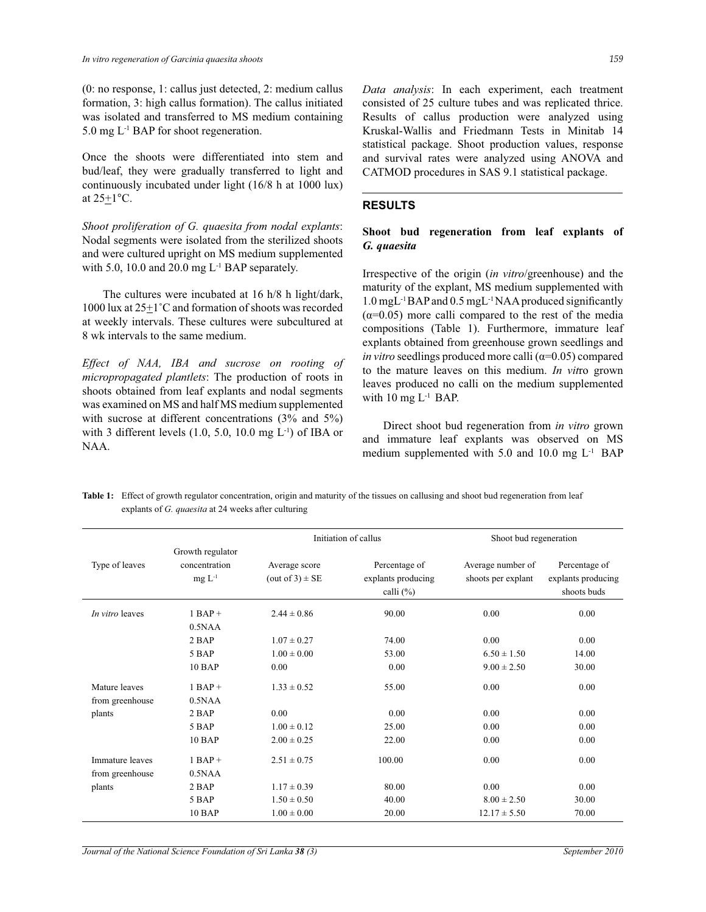(0: no response, 1: callus just detected, 2: medium callus formation, 3: high callus formation). The callus initiated was isolated and transferred to MS medium containing 5.0 mg  $L<sup>-1</sup>$  BAP for shoot regeneration.

Once the shoots were differentiated into stem and bud/leaf, they were gradually transferred to light and continuously incubated under light (16/8 h at 1000 lux) at  $25 \pm 1$ °C.

*Shoot proliferation of G. quaesita from nodal explants*: Nodal segments were isolated from the sterilized shoots and were cultured upright on MS medium supplemented with 5.0, 10.0 and 20.0 mg  $L^{-1}$  BAP separately.

 The cultures were incubated at 16 h/8 h light/dark, 1000 lux at 25+1˚C and formation of shoots was recorded at weekly intervals. These cultures were subcultured at 8 wk intervals to the same medium.

*Effect of NAA, IBA and sucrose on rooting of micropropagated plantlets*: The production of roots in shoots obtained from leaf explants and nodal segments was examined on MS and half MS medium supplemented with sucrose at different concentrations (3% and 5%) with 3 different levels  $(1.0, 5.0, 10.0 \text{ mg } L^{-1})$  of IBA or NAA.

*Data analysis*: In each experiment, each treatment consisted of 25 culture tubes and was replicated thrice. Results of callus production were analyzed using Kruskal-Wallis and Friedmann Tests in Minitab 14 statistical package. Shoot production values, response and survival rates were analyzed using ANOVA and CATMOD procedures in SAS 9.1 statistical package.

#### **RESULTS**

### **Shoot bud regeneration from leaf explants of**  *G. quaesita*

Irrespective of the origin (*in vitro*/greenhouse) and the maturity of the explant, MS medium supplemented with 1.0 mgL-1 BAP and 0.5 mgL-1 NAA produced significantly  $(\alpha=0.05)$  more calli compared to the rest of the media compositions (Table 1). Furthermore, immature leaf explants obtained from greenhouse grown seedlings and *in vitro* seedlings produced more calli  $(\alpha=0.05)$  compared to the mature leaves on this medium. *In vit*ro grown leaves produced no calli on the medium supplemented with  $10$  mg  $L^{-1}$  BAP.

 Direct shoot bud regeneration from *in vitro* grown and immature leaf explants was observed on MS medium supplemented with 5.0 and 10.0 mg  $L^{-1}$  BAP

Table 1: Effect of growth regulator concentration, origin and maturity of the tissues on callusing and shoot bud regeneration from leaf explants of *G. quaesita* at 24 weeks after culturing

|                                    |                                                  | Initiation of callus                    |                                                     | Shoot bud regeneration                  |                                                    |
|------------------------------------|--------------------------------------------------|-----------------------------------------|-----------------------------------------------------|-----------------------------------------|----------------------------------------------------|
| Type of leaves                     | Growth regulator<br>concentration<br>$mg L^{-1}$ | Average score<br>(out of $3$ ) $\pm$ SE | Percentage of<br>explants producing<br>calli $(\%)$ | Average number of<br>shoots per explant | Percentage of<br>explants producing<br>shoots buds |
| In vitro leaves                    | $1$ BAP +<br>0.5NAA                              | $2.44 \pm 0.86$                         | 90.00                                               | 0.00                                    | 0.00                                               |
|                                    | 2 BAP                                            | $1.07 \pm 0.27$                         | 74.00                                               | 0.00                                    | 0.00                                               |
|                                    | 5 BAP                                            | $1.00 \pm 0.00$                         | 53.00                                               | $6.50 \pm 1.50$                         | 14.00                                              |
|                                    | 10 BAP                                           | 0.00                                    | 0.00                                                | $9.00 \pm 2.50$                         | 30.00                                              |
| Mature leaves<br>from greenhouse   | $1$ BAP +<br>0.5NAA                              | $1.33 \pm 0.52$                         | 55.00                                               | 0.00                                    | 0.00                                               |
| plants                             | 2 BAP                                            | 0.00                                    | 0.00                                                | 0.00                                    | 0.00                                               |
|                                    | 5 BAP                                            | $1.00 \pm 0.12$                         | 25.00                                               | 0.00                                    | 0.00                                               |
|                                    | <b>10 BAP</b>                                    | $2.00 \pm 0.25$                         | 22.00                                               | 0.00                                    | 0.00                                               |
| Immature leaves<br>from greenhouse | $1$ BAP +<br>0.5NAA                              | $2.51 \pm 0.75$                         | 100.00                                              | 0.00                                    | 0.00                                               |
| plants                             | 2 BAP                                            | $1.17 \pm 0.39$                         | 80.00                                               | 0.00                                    | 0.00                                               |
|                                    | 5 BAP                                            | $1.50 \pm 0.50$                         | 40.00                                               | $8.00 \pm 2.50$                         | 30.00                                              |
|                                    | <b>10 BAP</b>                                    | $1.00 \pm 0.00$                         | 20.00                                               | $12.17 \pm 5.50$                        | 70.00                                              |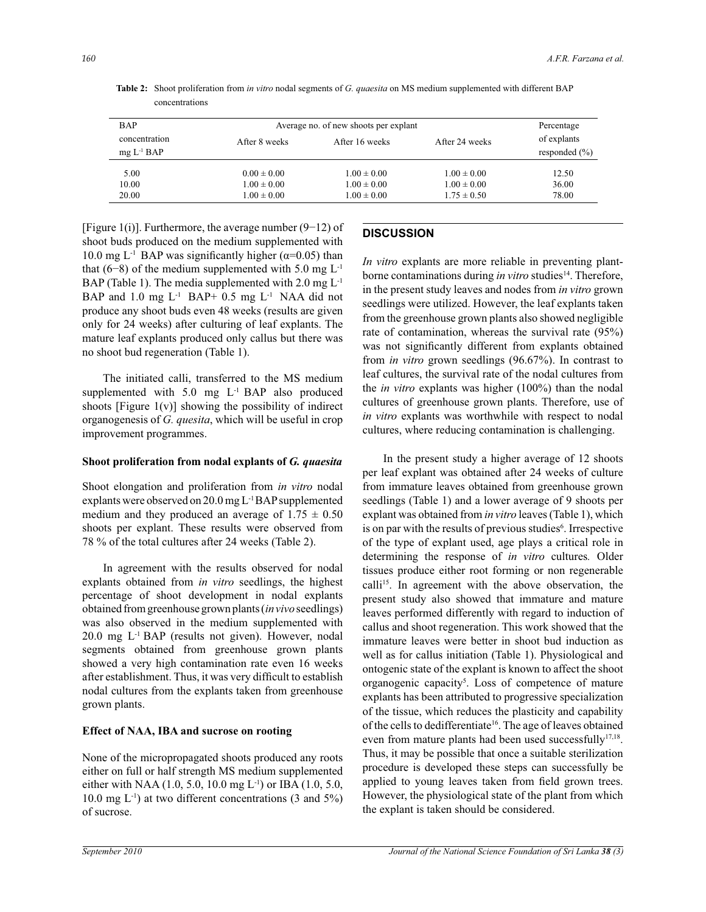| <b>BAP</b>                    | Average no. of new shoots per explant | Percentage      |                 |                                  |
|-------------------------------|---------------------------------------|-----------------|-----------------|----------------------------------|
| concentration<br>$mg L-1 BAP$ | After 8 weeks                         | After 16 weeks  | After 24 weeks  | of explants<br>responded $(\% )$ |
| 5.00                          | $0.00 \pm 0.00$                       | $1.00 \pm 0.00$ | $1.00 \pm 0.00$ | 12.50                            |
| 10.00                         | $1.00 \pm 0.00$                       | $1.00 \pm 0.00$ | $1.00 \pm 0.00$ | 36.00                            |
| 20.00                         | $1.00 \pm 0.00$                       | $1.00 \pm 0.00$ | $1.75 \pm 0.50$ | 78.00                            |

**Table 2:** Shoot proliferation from *in vitro* nodal segments of *G. quaesita* on MS medium supplemented with different BAP concentrations

[Figure 1(i)]. Furthermore, the average number (9−12) of shoot buds produced on the medium supplemented with 10.0 mg L<sup>-1</sup> BAP was significantly higher ( $\alpha$ =0.05) than that (6–8) of the medium supplemented with 5.0 mg  $L^{-1}$ BAP (Table 1). The media supplemented with 2.0 mg  $L^{-1}$ BAP and 1.0 mg L<sup>-1</sup> BAP+ 0.5 mg L<sup>-1</sup> NAA did not produce any shoot buds even 48 weeks (results are given only for 24 weeks) after culturing of leaf explants. The mature leaf explants produced only callus but there was no shoot bud regeneration (Table 1).

 The initiated calli, transferred to the MS medium supplemented with 5.0 mg L<sup>-1</sup> BAP also produced shoots [Figure  $1(v)$ ] showing the possibility of indirect organogenesis of *G. quesita*, which will be useful in crop improvement programmes.

#### **Shoot proliferation from nodal explants of** *G. quaesita*

Shoot elongation and proliferation from *in vitro* nodal explants were observed on 20.0 mg L-1 BAP supplemented medium and they produced an average of  $1.75 \pm 0.50$ shoots per explant. These results were observed from 78 % of the total cultures after 24 weeks (Table 2).

 In agreement with the results observed for nodal explants obtained from *in vitro* seedlings, the highest percentage of shoot development in nodal explants obtained from greenhouse grown plants (*in vivo* seedlings) was also observed in the medium supplemented with  $20.0$  mg  $L<sup>-1</sup>$  BAP (results not given). However, nodal segments obtained from greenhouse grown plants showed a very high contamination rate even 16 weeks after establishment. Thus, it was very difficult to establish nodal cultures from the explants taken from greenhouse grown plants.

#### **Effect of NAA, IBA and sucrose on rooting**

None of the micropropagated shoots produced any roots either on full or half strength MS medium supplemented either with NAA (1.0, 5.0, 10.0 mg L<sup>-1</sup>) or IBA (1.0, 5.0, 10.0 mg  $L^{-1}$ ) at two different concentrations (3 and 5%) of sucrose.

## **DISCUSSION**

*In vitro* explants are more reliable in preventing plantborne contaminations during *in vitro* studies<sup>14</sup>. Therefore, in the present study leaves and nodes from *in vitro* grown seedlings were utilized. However, the leaf explants taken from the greenhouse grown plants also showed negligible rate of contamination, whereas the survival rate (95%) was not significantly different from explants obtained from *in vitro* grown seedlings (96.67%). In contrast to leaf cultures, the survival rate of the nodal cultures from the *in vitro* explants was higher (100%) than the nodal cultures of greenhouse grown plants. Therefore, use of *in vitro* explants was worthwhile with respect to nodal cultures, where reducing contamination is challenging.

 In the present study a higher average of 12 shoots per leaf explant was obtained after 24 weeks of culture from immature leaves obtained from greenhouse grown seedlings (Table 1) and a lower average of 9 shoots per explant was obtained from *in vitro* leaves (Table 1), which is on par with the results of previous studies<sup>6</sup>. Irrespective of the type of explant used, age plays a critical role in determining the response of *in vitro* cultures*.* Older tissues produce either root forming or non regenerable calli<sup>15</sup>. In agreement with the above observation, the present study also showed that immature and mature leaves performed differently with regard to induction of callus and shoot regeneration. This work showed that the immature leaves were better in shoot bud induction as well as for callus initiation (Table 1). Physiological and ontogenic state of the explant is known to affect the shoot organogenic capacity<sup>5</sup>. Loss of competence of mature explants has been attributed to progressive specialization of the tissue, which reduces the plasticity and capability of the cells to dedifferentiate<sup>16</sup>. The age of leaves obtained even from mature plants had been used successfully<sup>17,18</sup>. Thus, it may be possible that once a suitable sterilization procedure is developed these steps can successfully be applied to young leaves taken from field grown trees. However, the physiological state of the plant from which the explant is taken should be considered.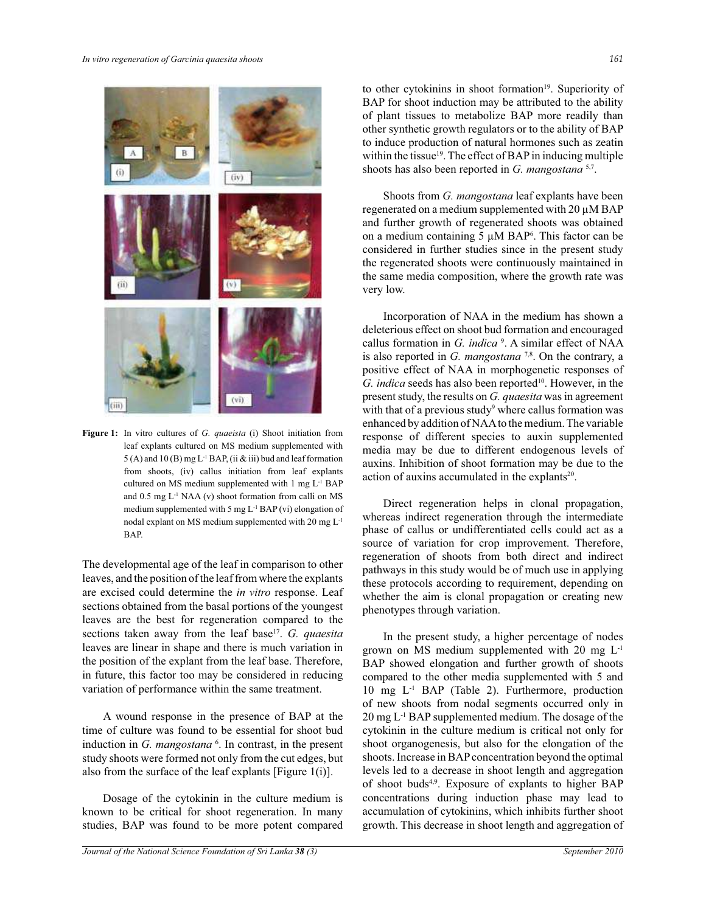

**Figure 1:** In vitro cultures of *G. quaeista* (i) Shoot initiation from leaf explants cultured on MS medium supplemented with  $5(A)$  and  $10(B)$  mg L<sup>-1</sup> BAP, (ii & iii) bud and leaf formation from shoots, (iv) callus initiation from leaf explants cultured on MS medium supplemented with 1 mg L-1 BAP and  $0.5$  mg  $L^{-1}$  NAA (v) shoot formation from calli on MS medium supplemented with 5 mg L-1 BAP (vi) elongation of nodal explant on MS medium supplemented with 20 mg L-1 BAP.

The developmental age of the leaf in comparison to other leaves, and the position of the leaf from where the explants are excised could determine the *in vitro* response. Leaf sections obtained from the basal portions of the youngest leaves are the best for regeneration compared to the sections taken away from the leaf base<sup>17</sup>. *G. quaesita* leaves are linear in shape and there is much variation in the position of the explant from the leaf base. Therefore, in future, this factor too may be considered in reducing variation of performance within the same treatment.

 A wound response in the presence of BAP at the time of culture was found to be essential for shoot bud induction in *G. mangostana* <sup>6</sup>. In contrast, in the present study shoots were formed not only from the cut edges, but also from the surface of the leaf explants [Figure 1(i)].

 Dosage of the cytokinin in the culture medium is known to be critical for shoot regeneration. In many studies, BAP was found to be more potent compared

to other cytokinins in shoot formation<sup>19</sup>. Superiority of BAP for shoot induction may be attributed to the ability of plant tissues to metabolize BAP more readily than other synthetic growth regulators or to the ability of BAP to induce production of natural hormones such as zeatin within the tissue<sup>19</sup>. The effect of BAP in inducing multiple shoots has also been reported in *G. mangostana* 5,7 .

 Shoots from *G. mangostana* leaf explants have been regenerated on a medium supplemented with 20 µM BAP and further growth of regenerated shoots was obtained on a medium containing  $5 \mu M BAP^6$ . This factor can be considered in further studies since in the present study the regenerated shoots were continuously maintained in the same media composition, where the growth rate was very low.

 Incorporation of NAA in the medium has shown a deleterious effect on shoot bud formation and encouraged callus formation in *G. indica* <sup>9</sup> . A similar effect of NAA is also reported in *G. mangostana*<sup>7,8</sup>. On the contrary, a positive effect of NAA in morphogenetic responses of *G. indica* seeds has also been reported<sup>10</sup>. However, in the present study, the results on *G. quaesita* was in agreement with that of a previous study<sup>9</sup> where callus formation was enhanced by addition of NAA to the medium. The variable response of different species to auxin supplemented media may be due to different endogenous levels of auxins. Inhibition of shoot formation may be due to the action of auxins accumulated in the explants $20$ .

 Direct regeneration helps in clonal propagation, whereas indirect regeneration through the intermediate phase of callus or undifferentiated cells could act as a source of variation for crop improvement. Therefore, regeneration of shoots from both direct and indirect pathways in this study would be of much use in applying these protocols according to requirement, depending on whether the aim is clonal propagation or creating new phenotypes through variation.

 In the present study, a higher percentage of nodes grown on MS medium supplemented with 20 mg  $L^{-1}$ BAP showed elongation and further growth of shoots compared to the other media supplemented with 5 and 10 mg L-1 BAP (Table 2). Furthermore, production of new shoots from nodal segments occurred only in 20 mg L-1 BAP supplemented medium. The dosage of the cytokinin in the culture medium is critical not only for shoot organogenesis, but also for the elongation of the shoots. Increase in BAP concentration beyond the optimal levels led to a decrease in shoot length and aggregation of shoot buds4,9. Exposure of explants to higher BAP concentrations during induction phase may lead to accumulation of cytokinins, which inhibits further shoot growth. This decrease in shoot length and aggregation of